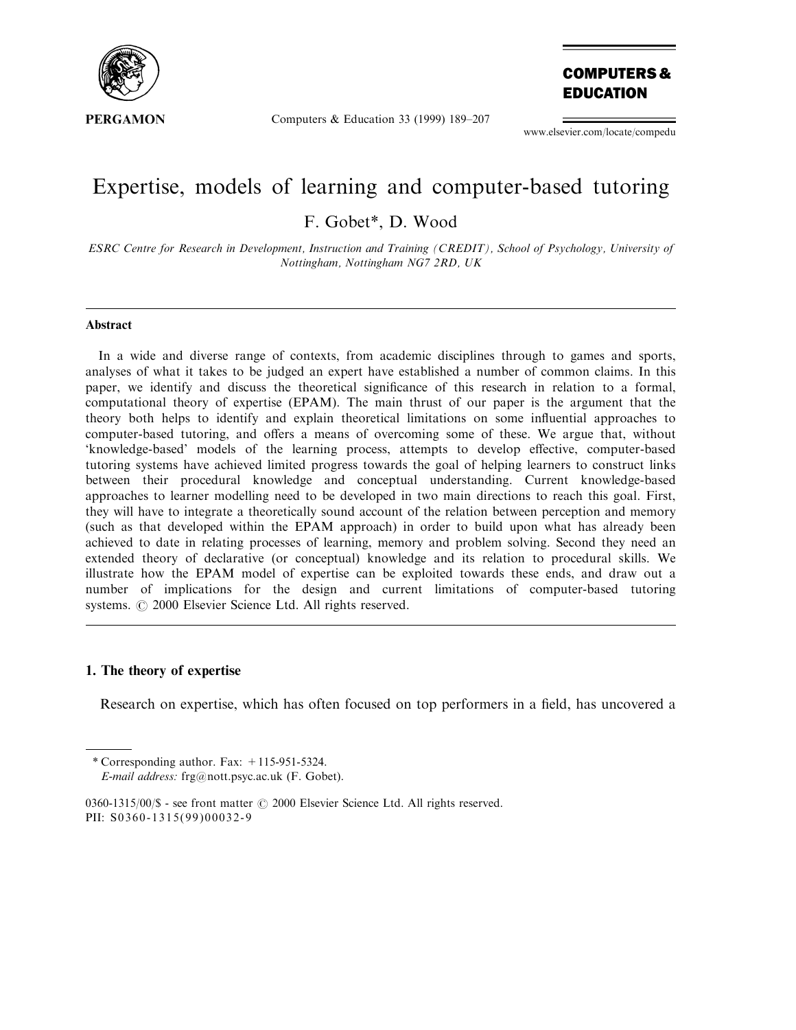

Computers & Education 33 (1999) 189-207

## **COMPUTERS& EDUCATION**

www.elsevier.com/locate/compedu

# Expertise, models of learning and computer-based tutoring

F. Gobet\*, D. Wood

ESRC Centre for Research in Development, Instruction and Training (CREDIT), School of Psychology, University of Nottingham, Nottingham NG7 2RD, UK

#### Abstract

In a wide and diverse range of contexts, from academic disciplines through to games and sports, analyses of what it takes to be judged an expert have established a number of common claims. In this paper, we identify and discuss the theoretical significance of this research in relation to a formal, computational theory of expertise (EPAM). The main thrust of our paper is the argument that the theory both helps to identify and explain theoretical limitations on some influential approaches to computer-based tutoring, and offers a means of overcoming some of these. We argue that, without 'knowledge-based' models of the learning process, attempts to develop effective, computer-based tutoring systems have achieved limited progress towards the goal of helping learners to construct links between their procedural knowledge and conceptual understanding. Current knowledge-based approaches to learner modelling need to be developed in two main directions to reach this goal. First, they will have to integrate a theoretically sound account of the relation between perception and memory (such as that developed within the EPAM approach) in order to build upon what has already been achieved to date in relating processes of learning, memory and problem solving. Second they need an extended theory of declarative (or conceptual) knowledge and its relation to procedural skills. We illustrate how the EPAM model of expertise can be exploited towards these ends, and draw out a number of implications for the design and current limitations of computer-based tutoring systems.  $\odot$  2000 Elsevier Science Ltd. All rights reserved.

## 1. The theory of expertise

Research on expertise, which has often focused on top performers in a field, has uncovered a

<sup>\*</sup> Corresponding author. Fax:  $+115-951-5324$ .

E-mail address: frg@nott.psyc.ac.uk (F. Gobet).

<sup>0360-1315/00/\$ -</sup> see front matter  $\odot$  2000 Elsevier Science Ltd. All rights reserved. PII: S0360-1315(99)00032-9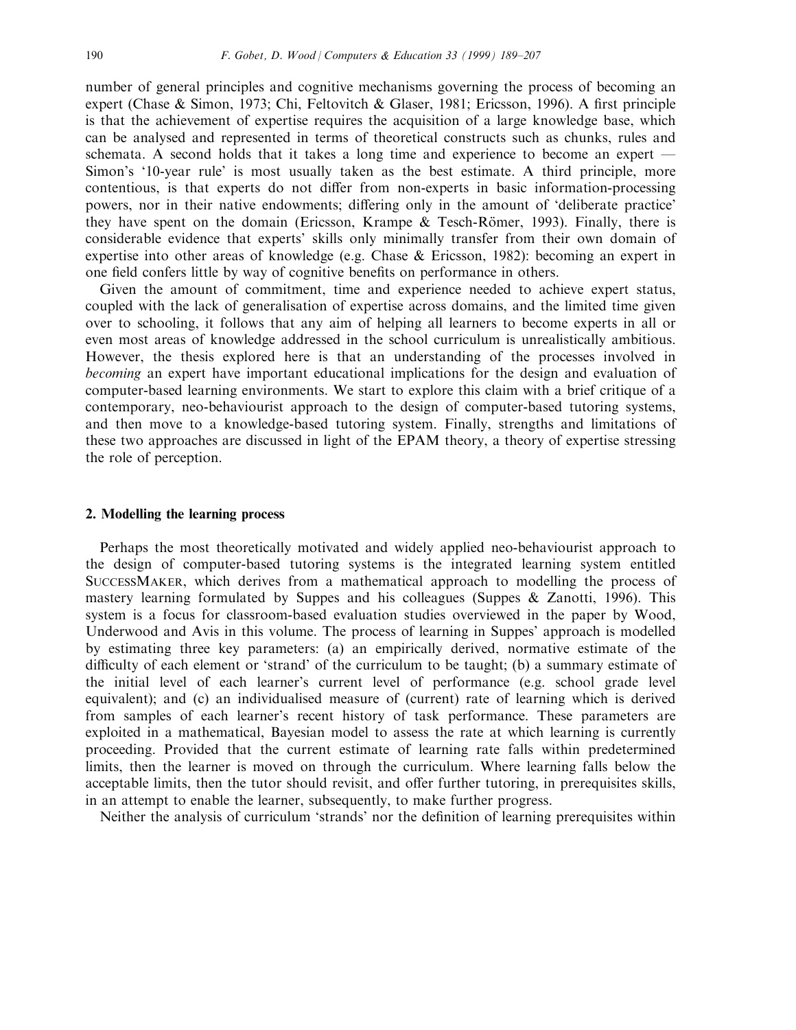number of general principles and cognitive mechanisms governing the process of becoming an expert (Chase & Simon, 1973; Chi, Feltovitch & Glaser, 1981; Ericsson, 1996). A first principle is that the achievement of expertise requires the acquisition of a large knowledge base, which can be analysed and represented in terms of theoretical constructs such as chunks, rules and schemata. A second holds that it takes a long time and experience to become an expert  $\overline{\phantom{a}}$ Simon's '10-year rule' is most usually taken as the best estimate. A third principle, more contentious, is that experts do not differ from non-experts in basic information-processing powers, nor in their native endowments; differing only in the amount of 'deliberate practice' they have spent on the domain (Ericsson, Krampe  $\&$  Tesch-Römer, 1993). Finally, there is considerable evidence that experts' skills only minimally transfer from their own domain of expertise into other areas of knowledge (e.g. Chase & Ericsson, 1982): becoming an expert in one field confers little by way of cognitive benefits on performance in others.

Given the amount of commitment, time and experience needed to achieve expert status, coupled with the lack of generalisation of expertise across domains, and the limited time given over to schooling, it follows that any aim of helping all learners to become experts in all or even most areas of knowledge addressed in the school curriculum is unrealistically ambitious. However, the thesis explored here is that an understanding of the processes involved in becoming an expert have important educational implications for the design and evaluation of computer-based learning environments. We start to explore this claim with a brief critique of a contemporary, neo-behaviourist approach to the design of computer-based tutoring systems, and then move to a knowledge-based tutoring system. Finally, strengths and limitations of these two approaches are discussed in light of the EPAM theory, a theory of expertise stressing the role of perception.

## 2. Modelling the learning process

Perhaps the most theoretically motivated and widely applied neo-behaviourist approach to the design of computer-based tutoring systems is the integrated learning system entitled SUCCESSMAKER, which derives from a mathematical approach to modelling the process of mastery learning formulated by Suppes and his colleagues (Suppes & Zanotti, 1996). This system is a focus for classroom-based evaluation studies overviewed in the paper by Wood, Underwood and Avis in this volume. The process of learning in Suppes' approach is modelled by estimating three key parameters: (a) an empirically derived, normative estimate of the difficulty of each element or 'strand' of the curriculum to be taught; (b) a summary estimate of the initial level of each learner's current level of performance (e.g. school grade level equivalent); and (c) an individualised measure of (current) rate of learning which is derived from samples of each learner's recent history of task performance. These parameters are exploited in a mathematical, Bayesian model to assess the rate at which learning is currently proceeding. Provided that the current estimate of learning rate falls within predetermined limits, then the learner is moved on through the curriculum. Where learning falls below the acceptable limits, then the tutor should revisit, and offer further tutoring, in prerequisites skills, in an attempt to enable the learner, subsequently, to make further progress.

Neither the analysis of curriculum 'strands' nor the definition of learning prerequisites within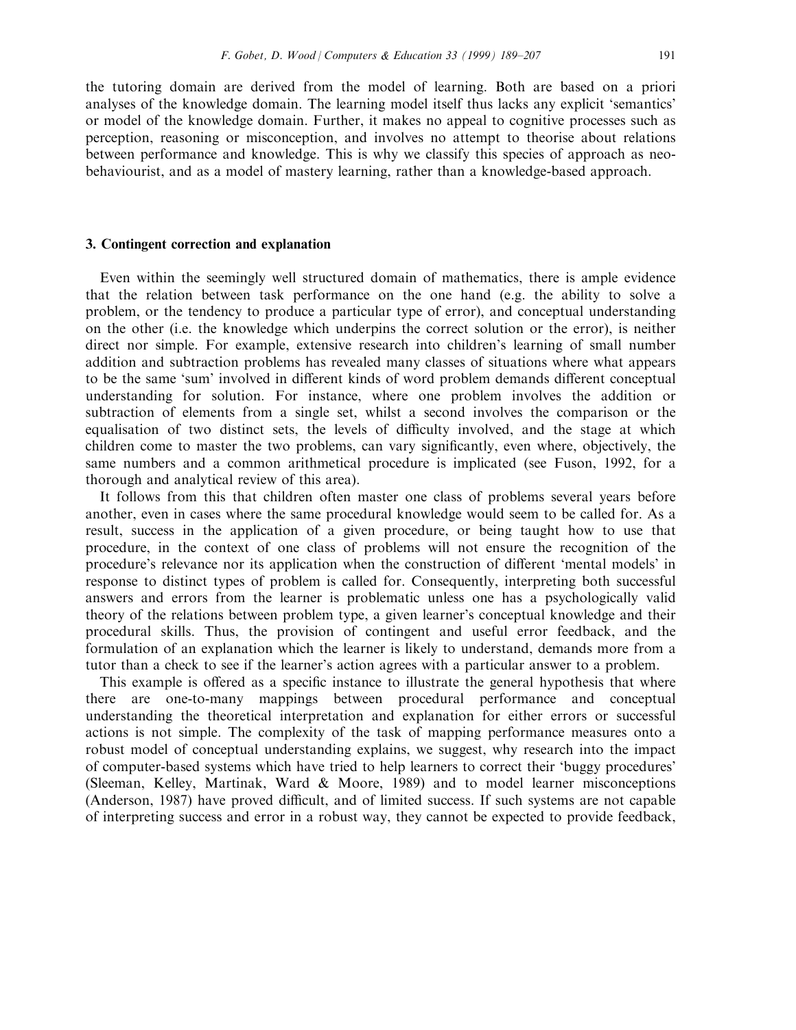the tutoring domain are derived from the model of learning. Both are based on a priori analyses of the knowledge domain. The learning model itself thus lacks any explicit `semantics' or model of the knowledge domain. Further, it makes no appeal to cognitive processes such as perception, reasoning or misconception, and involves no attempt to theorise about relations between performance and knowledge. This is why we classify this species of approach as neobehaviourist, and as a model of mastery learning, rather than a knowledge-based approach.

## 3. Contingent correction and explanation

Even within the seemingly well structured domain of mathematics, there is ample evidence that the relation between task performance on the one hand (e.g. the ability to solve a problem, or the tendency to produce a particular type of error), and conceptual understanding on the other (i.e. the knowledge which underpins the correct solution or the error), is neither direct nor simple. For example, extensive research into children's learning of small number addition and subtraction problems has revealed many classes of situations where what appears to be the same 'sum' involved in different kinds of word problem demands different conceptual understanding for solution. For instance, where one problem involves the addition or subtraction of elements from a single set, whilst a second involves the comparison or the equalisation of two distinct sets, the levels of difficulty involved, and the stage at which children come to master the two problems, can vary significantly, even where, objectively, the same numbers and a common arithmetical procedure is implicated (see Fuson, 1992, for a thorough and analytical review of this area).

It follows from this that children often master one class of problems several years before another, even in cases where the same procedural knowledge would seem to be called for. As a result, success in the application of a given procedure, or being taught how to use that procedure, in the context of one class of problems will not ensure the recognition of the procedure's relevance nor its application when the construction of different 'mental models' in response to distinct types of problem is called for. Consequently, interpreting both successful answers and errors from the learner is problematic unless one has a psychologically valid theory of the relations between problem type, a given learner's conceptual knowledge and their procedural skills. Thus, the provision of contingent and useful error feedback, and the formulation of an explanation which the learner is likely to understand, demands more from a tutor than a check to see if the learner's action agrees with a particular answer to a problem.

This example is offered as a specific instance to illustrate the general hypothesis that where there are one-to-many mappings between procedural performance and conceptual understanding the theoretical interpretation and explanation for either errors or successful actions is not simple. The complexity of the task of mapping performance measures onto a robust model of conceptual understanding explains, we suggest, why research into the impact of computer-based systems which have tried to help learners to correct their `buggy procedures' (Sleeman, Kelley, Martinak, Ward & Moore, 1989) and to model learner misconceptions (Anderson, 1987) have proved difficult, and of limited success. If such systems are not capable of interpreting success and error in a robust way, they cannot be expected to provide feedback,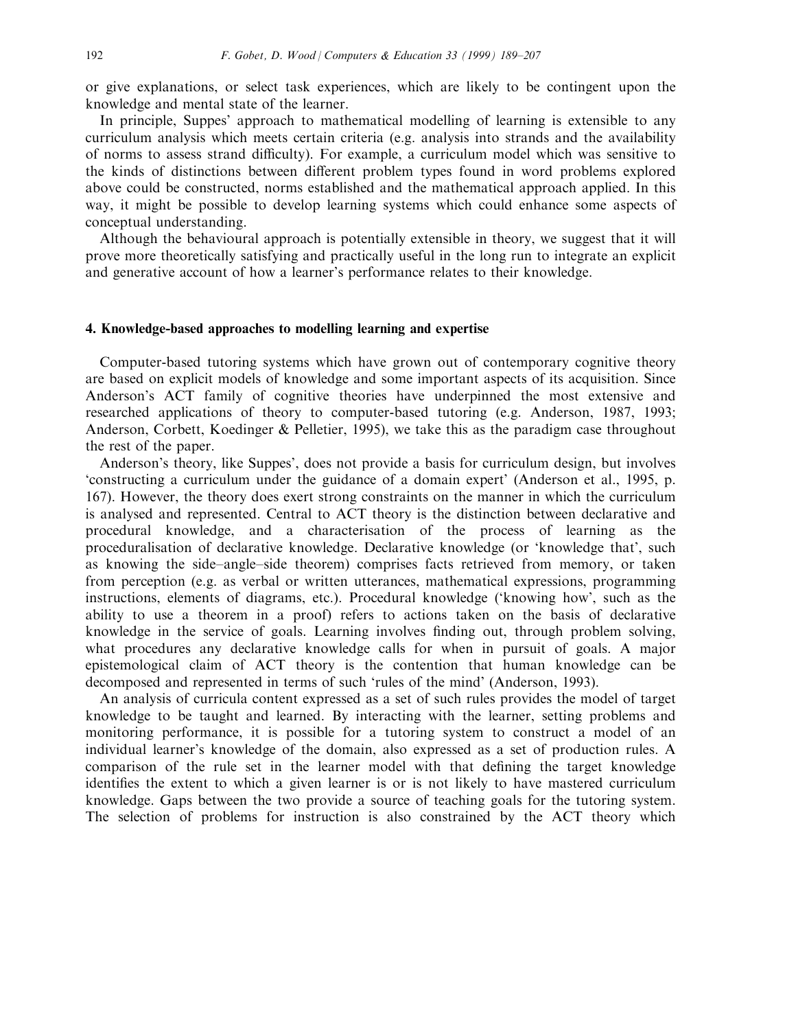or give explanations, or select task experiences, which are likely to be contingent upon the knowledge and mental state of the learner.

In principle, Suppes' approach to mathematical modelling of learning is extensible to any curriculum analysis which meets certain criteria (e.g. analysis into strands and the availability of norms to assess strand difficulty). For example, a curriculum model which was sensitive to the kinds of distinctions between different problem types found in word problems explored above could be constructed, norms established and the mathematical approach applied. In this way, it might be possible to develop learning systems which could enhance some aspects of conceptual understanding.

Although the behavioural approach is potentially extensible in theory, we suggest that it will prove more theoretically satisfying and practically useful in the long run to integrate an explicit and generative account of how a learner's performance relates to their knowledge.

## 4. Knowledge-based approaches to modelling learning and expertise

Computer-based tutoring systems which have grown out of contemporary cognitive theory are based on explicit models of knowledge and some important aspects of its acquisition. Since Anderson's ACT family of cognitive theories have underpinned the most extensive and researched applications of theory to computer-based tutoring (e.g. Anderson, 1987, 1993; Anderson, Corbett, Koedinger & Pelletier, 1995), we take this as the paradigm case throughout the rest of the paper.

Anderson's theory, like Suppes', does not provide a basis for curriculum design, but involves `constructing a curriculum under the guidance of a domain expert' (Anderson et al., 1995, p. 167). However, the theory does exert strong constraints on the manner in which the curriculum is analysed and represented. Central to ACT theory is the distinction between declarative and procedural knowledge, and a characterisation of the process of learning as the proceduralisation of declarative knowledge. Declarative knowledge (or `knowledge that', such as knowing the side-angle-side theorem) comprises facts retrieved from memory, or taken from perception (e.g. as verbal or written utterances, mathematical expressions, programming instructions, elements of diagrams, etc.). Procedural knowledge ('knowing how', such as the ability to use a theorem in a proof) refers to actions taken on the basis of declarative knowledge in the service of goals. Learning involves finding out, through problem solving, what procedures any declarative knowledge calls for when in pursuit of goals. A major epistemological claim of ACT theory is the contention that human knowledge can be decomposed and represented in terms of such `rules of the mind' (Anderson, 1993).

An analysis of curricula content expressed as a set of such rules provides the model of target knowledge to be taught and learned. By interacting with the learner, setting problems and monitoring performance, it is possible for a tutoring system to construct a model of an individual learner's knowledge of the domain, also expressed as a set of production rules. A comparison of the rule set in the learner model with that defining the target knowledge identifies the extent to which a given learner is or is not likely to have mastered curriculum knowledge. Gaps between the two provide a source of teaching goals for the tutoring system. The selection of problems for instruction is also constrained by the ACT theory which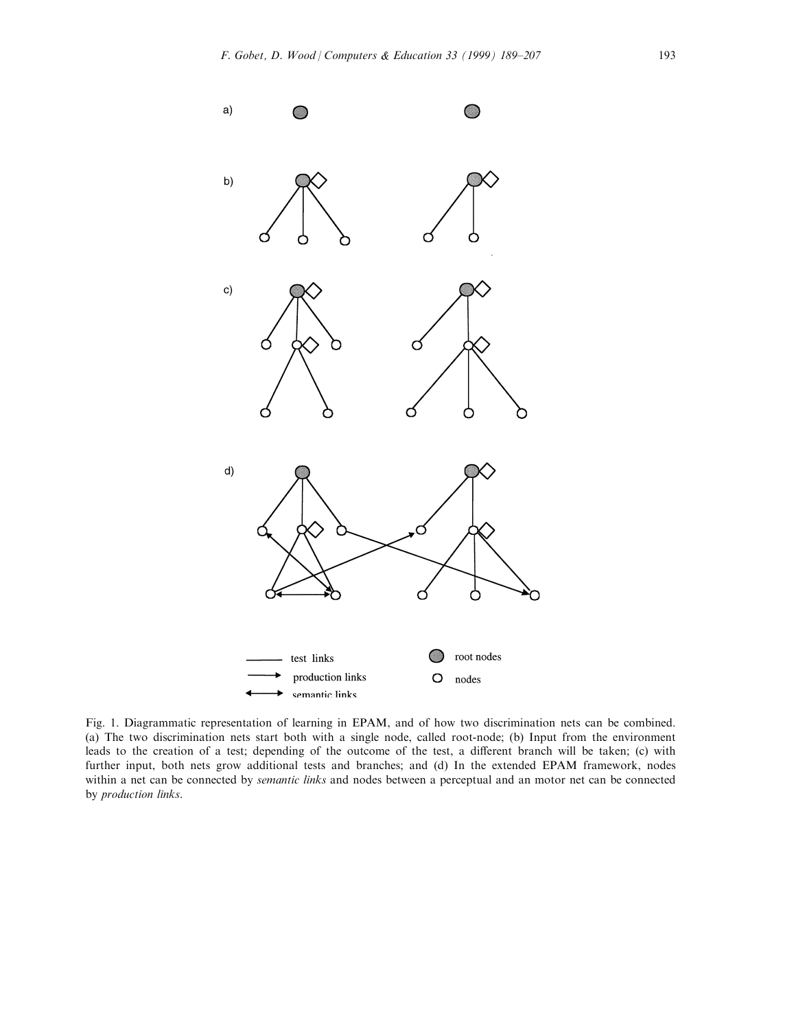

Fig. 1. Diagrammatic representation of learning in EPAM, and of how two discrimination nets can be combined. (a) The two discrimination nets start both with a single node, called root-node; (b) Input from the environment leads to the creation of a test; depending of the outcome of the test, a different branch will be taken; (c) with further input, both nets grow additional tests and branches; and (d) In the extended EPAM framework, nodes within a net can be connected by *semantic links* and nodes between a perceptual and an motor net can be connected by production links.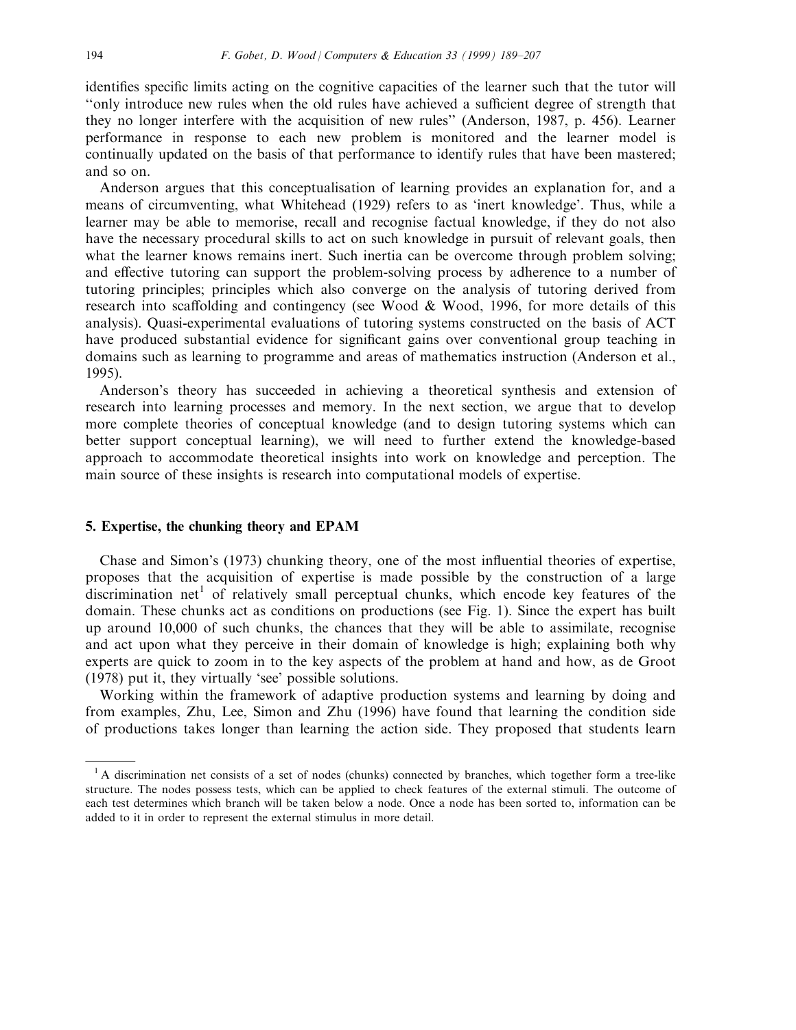identifies specific limits acting on the cognitive capacities of the learner such that the tutor will ``only introduce new rules when the old rules have achieved a sucient degree of strength that they no longer interfere with the acquisition of new rules'' (Anderson, 1987, p. 456). Learner performance in response to each new problem is monitored and the learner model is continually updated on the basis of that performance to identify rules that have been mastered; and so on.

Anderson argues that this conceptualisation of learning provides an explanation for, and a means of circumventing, what Whitehead (1929) refers to as 'inert knowledge'. Thus, while a learner may be able to memorise, recall and recognise factual knowledge, if they do not also have the necessary procedural skills to act on such knowledge in pursuit of relevant goals, then what the learner knows remains inert. Such inertia can be overcome through problem solving; and effective tutoring can support the problem-solving process by adherence to a number of tutoring principles; principles which also converge on the analysis of tutoring derived from research into scaffolding and contingency (see Wood  $\&$  Wood, 1996, for more details of this analysis). Quasi-experimental evaluations of tutoring systems constructed on the basis of ACT have produced substantial evidence for significant gains over conventional group teaching in domains such as learning to programme and areas of mathematics instruction (Anderson et al., 1995).

Anderson's theory has succeeded in achieving a theoretical synthesis and extension of research into learning processes and memory. In the next section, we argue that to develop more complete theories of conceptual knowledge (and to design tutoring systems which can better support conceptual learning), we will need to further extend the knowledge-based approach to accommodate theoretical insights into work on knowledge and perception. The main source of these insights is research into computational models of expertise.

#### 5. Expertise, the chunking theory and EPAM

Chase and Simon's  $(1973)$  chunking theory, one of the most influential theories of expertise, proposes that the acquisition of expertise is made possible by the construction of a large discrimination net<sup>1</sup> of relatively small perceptual chunks, which encode key features of the domain. These chunks act as conditions on productions (see Fig. 1). Since the expert has built up around 10,000 of such chunks, the chances that they will be able to assimilate, recognise and act upon what they perceive in their domain of knowledge is high; explaining both why experts are quick to zoom in to the key aspects of the problem at hand and how, as de Groot (1978) put it, they virtually `see' possible solutions.

Working within the framework of adaptive production systems and learning by doing and from examples, Zhu, Lee, Simon and Zhu (1996) have found that learning the condition side of productions takes longer than learning the action side. They proposed that students learn

<sup>&</sup>lt;sup>1</sup> A discrimination net consists of a set of nodes (chunks) connected by branches, which together form a tree-like structure. The nodes possess tests, which can be applied to check features of the external stimuli. The outcome of each test determines which branch will be taken below a node. Once a node has been sorted to, information can be added to it in order to represent the external stimulus in more detail.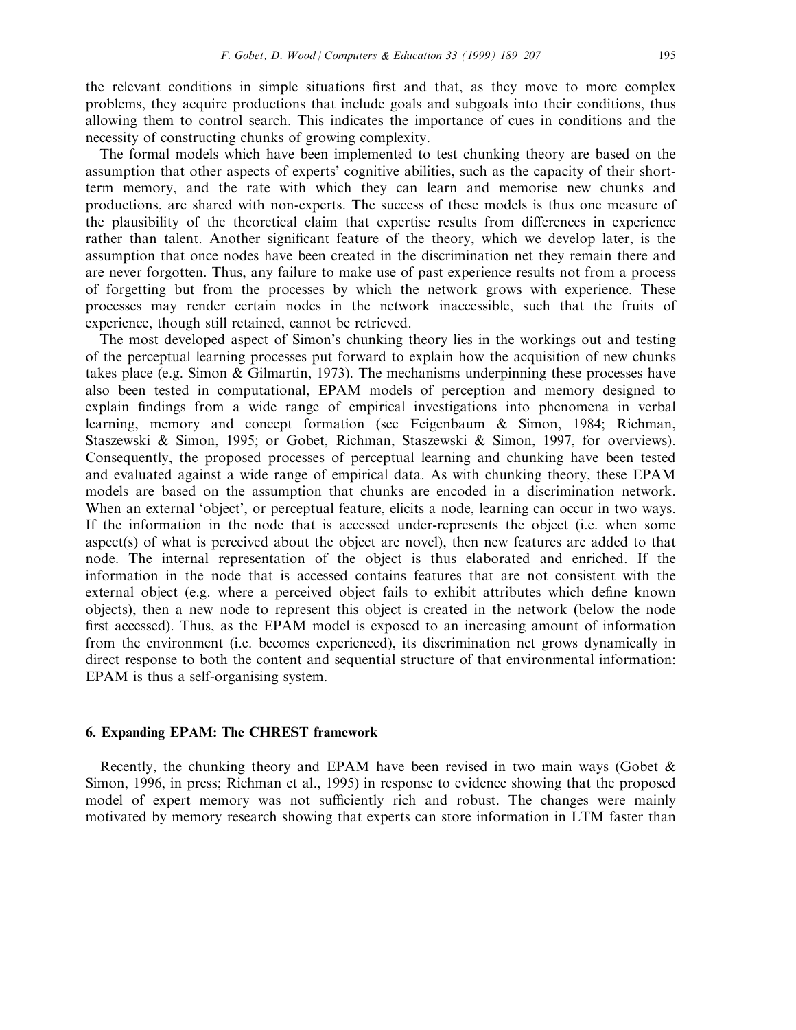the relevant conditions in simple situations first and that, as they move to more complex problems, they acquire productions that include goals and subgoals into their conditions, thus allowing them to control search. This indicates the importance of cues in conditions and the necessity of constructing chunks of growing complexity.

The formal models which have been implemented to test chunking theory are based on the assumption that other aspects of experts' cognitive abilities, such as the capacity of their shortterm memory, and the rate with which they can learn and memorise new chunks and productions, are shared with non-experts. The success of these models is thus one measure of the plausibility of the theoretical claim that expertise results from differences in experience rather than talent. Another significant feature of the theory, which we develop later, is the assumption that once nodes have been created in the discrimination net they remain there and are never forgotten. Thus, any failure to make use of past experience results not from a process of forgetting but from the processes by which the network grows with experience. These processes may render certain nodes in the network inaccessible, such that the fruits of experience, though still retained, cannot be retrieved.

The most developed aspect of Simon's chunking theory lies in the workings out and testing of the perceptual learning processes put forward to explain how the acquisition of new chunks takes place (e.g. Simon & Gilmartin, 1973). The mechanisms underpinning these processes have also been tested in computational, EPAM models of perception and memory designed to explain findings from a wide range of empirical investigations into phenomena in verbal learning, memory and concept formation (see Feigenbaum & Simon, 1984; Richman, Staszewski & Simon, 1995; or Gobet, Richman, Staszewski & Simon, 1997, for overviews). Consequently, the proposed processes of perceptual learning and chunking have been tested and evaluated against a wide range of empirical data. As with chunking theory, these EPAM models are based on the assumption that chunks are encoded in a discrimination network. When an external 'object', or perceptual feature, elicits a node, learning can occur in two ways. If the information in the node that is accessed under-represents the object (i.e. when some aspect(s) of what is perceived about the object are novel), then new features are added to that node. The internal representation of the object is thus elaborated and enriched. If the information in the node that is accessed contains features that are not consistent with the external object (e.g. where a perceived object fails to exhibit attributes which define known objects), then a new node to represent this object is created in the network (below the node first accessed). Thus, as the EPAM model is exposed to an increasing amount of information from the environment (i.e. becomes experienced), its discrimination net grows dynamically in direct response to both the content and sequential structure of that environmental information: EPAM is thus a self-organising system.

## 6. Expanding EPAM: The CHREST framework

Recently, the chunking theory and EPAM have been revised in two main ways (Gobet & Simon, 1996, in press; Richman et al., 1995) in response to evidence showing that the proposed model of expert memory was not sufficiently rich and robust. The changes were mainly motivated by memory research showing that experts can store information in LTM faster than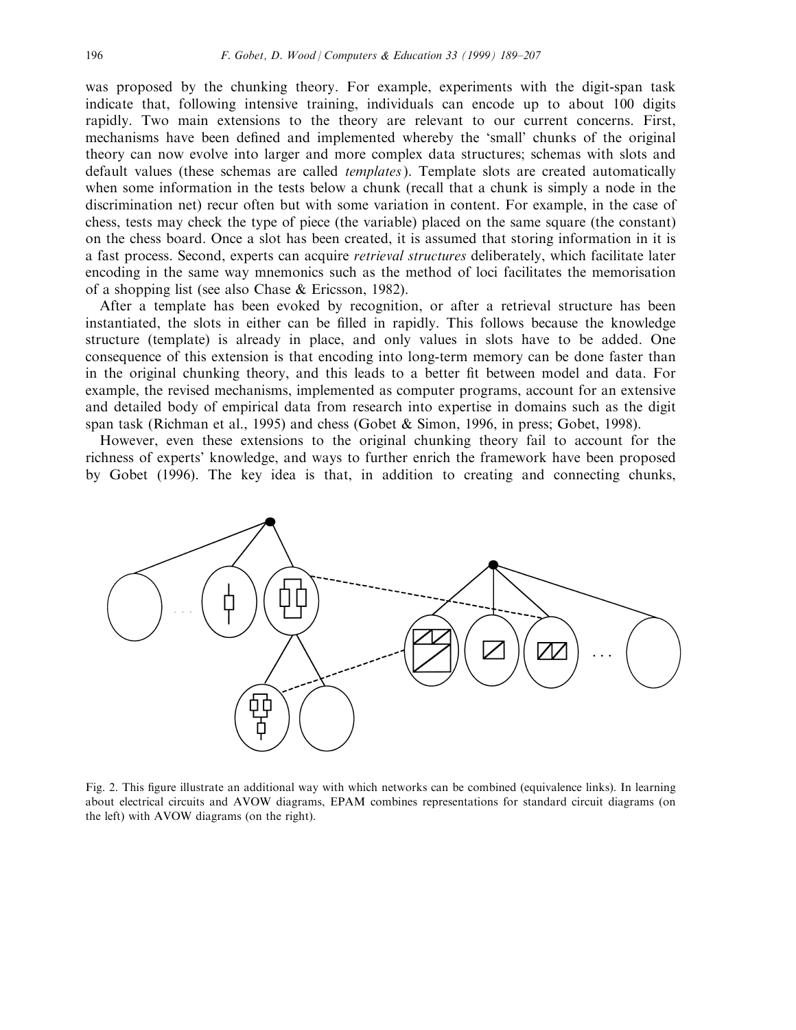was proposed by the chunking theory. For example, experiments with the digit-span task indicate that, following intensive training, individuals can encode up to about 100 digits rapidly. Two main extensions to the theory are relevant to our current concerns. First, mechanisms have been defined and implemented whereby the 'small' chunks of the original theory can now evolve into larger and more complex data structures; schemas with slots and default values (these schemas are called *templates*). Template slots are created automatically when some information in the tests below a chunk (recall that a chunk is simply a node in the discrimination net) recur often but with some variation in content. For example, in the case of chess, tests may check the type of piece (the variable) placed on the same square (the constant) on the chess board. Once a slot has been created, it is assumed that storing information in it is a fast process. Second, experts can acquire retrieval structures deliberately, which facilitate later encoding in the same way mnemonics such as the method of loci facilitates the memorisation of a shopping list (see also Chase & Ericsson, 1982).

After a template has been evoked by recognition, or after a retrieval structure has been instantiated, the slots in either can be filled in rapidly. This follows because the knowledge structure (template) is already in place, and only values in slots have to be added. One consequence of this extension is that encoding into long-term memory can be done faster than in the original chunking theory, and this leads to a better fit between model and data. For example, the revised mechanisms, implemented as computer programs, account for an extensive and detailed body of empirical data from research into expertise in domains such as the digit span task (Richman et al., 1995) and chess (Gobet & Simon, 1996, in press; Gobet, 1998).

However, even these extensions to the original chunking theory fail to account for the richness of experts' knowledge, and ways to further enrich the framework have been proposed by Gobet (1996). The key idea is that, in addition to creating and connecting chunks,



Fig. 2. This figure illustrate an additional way with which networks can be combined (equivalence links). In learning about electrical circuits and AVOW diagrams, EPAM combines representations for standard circuit diagrams (on the left) with AVOW diagrams (on the right).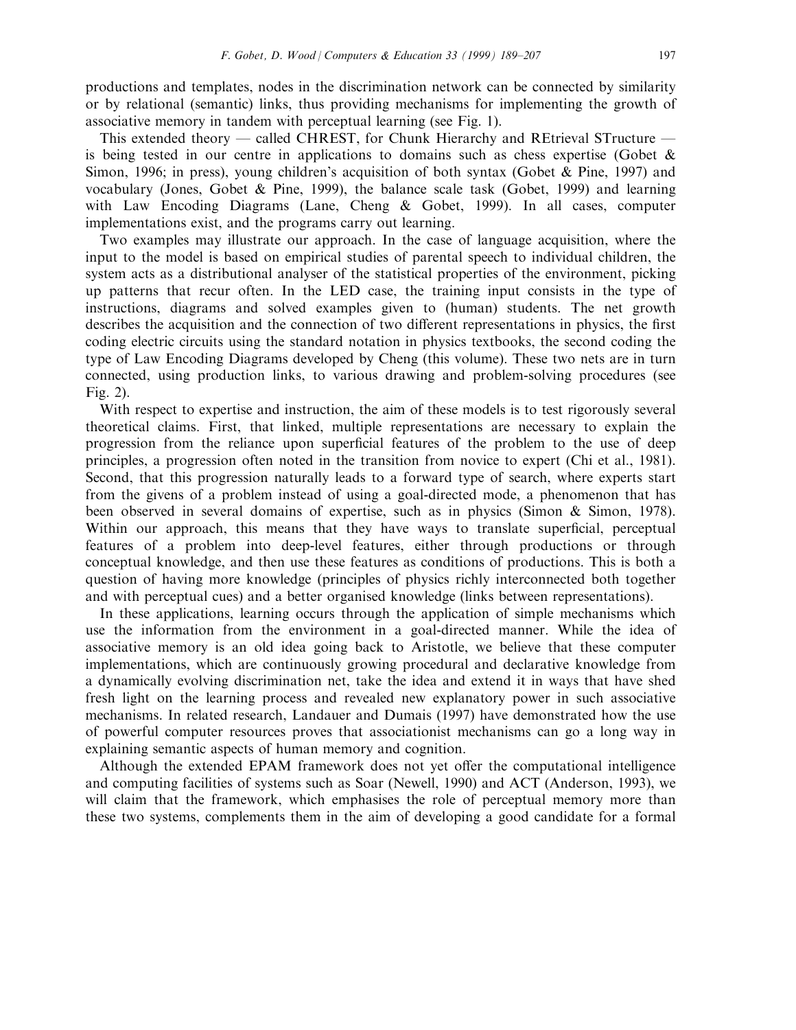productions and templates, nodes in the discrimination network can be connected by similarity or by relational (semantic) links, thus providing mechanisms for implementing the growth of associative memory in tandem with perceptual learning (see Fig. 1).

This extended theory  $-$  called CHREST, for Chunk Hierarchy and REtrieval STructure  $$ is being tested in our centre in applications to domains such as chess expertise (Gobet & Simon, 1996; in press), young children's acquisition of both syntax (Gobet & Pine, 1997) and vocabulary (Jones, Gobet & Pine, 1999), the balance scale task (Gobet, 1999) and learning with Law Encoding Diagrams (Lane, Cheng & Gobet, 1999). In all cases, computer implementations exist, and the programs carry out learning.

Two examples may illustrate our approach. In the case of language acquisition, where the input to the model is based on empirical studies of parental speech to individual children, the system acts as a distributional analyser of the statistical properties of the environment, picking up patterns that recur often. In the LED case, the training input consists in the type of instructions, diagrams and solved examples given to (human) students. The net growth describes the acquisition and the connection of two different representations in physics, the first coding electric circuits using the standard notation in physics textbooks, the second coding the type of Law Encoding Diagrams developed by Cheng (this volume). These two nets are in turn connected, using production links, to various drawing and problem-solving procedures (see Fig. 2).

With respect to expertise and instruction, the aim of these models is to test rigorously several theoretical claims. First, that linked, multiple representations are necessary to explain the progression from the reliance upon superficial features of the problem to the use of deep principles, a progression often noted in the transition from novice to expert (Chi et al., 1981). Second, that this progression naturally leads to a forward type of search, where experts start from the givens of a problem instead of using a goal-directed mode, a phenomenon that has been observed in several domains of expertise, such as in physics (Simon & Simon, 1978). Within our approach, this means that they have ways to translate superficial, perceptual features of a problem into deep-level features, either through productions or through conceptual knowledge, and then use these features as conditions of productions. This is both a question of having more knowledge (principles of physics richly interconnected both together and with perceptual cues) and a better organised knowledge (links between representations).

In these applications, learning occurs through the application of simple mechanisms which use the information from the environment in a goal-directed manner. While the idea of associative memory is an old idea going back to Aristotle, we believe that these computer implementations, which are continuously growing procedural and declarative knowledge from a dynamically evolving discrimination net, take the idea and extend it in ways that have shed fresh light on the learning process and revealed new explanatory power in such associative mechanisms. In related research, Landauer and Dumais (1997) have demonstrated how the use of powerful computer resources proves that associationist mechanisms can go a long way in explaining semantic aspects of human memory and cognition.

Although the extended EPAM framework does not yet offer the computational intelligence and computing facilities of systems such as Soar (Newell, 1990) and ACT (Anderson, 1993), we will claim that the framework, which emphasises the role of perceptual memory more than these two systems, complements them in the aim of developing a good candidate for a formal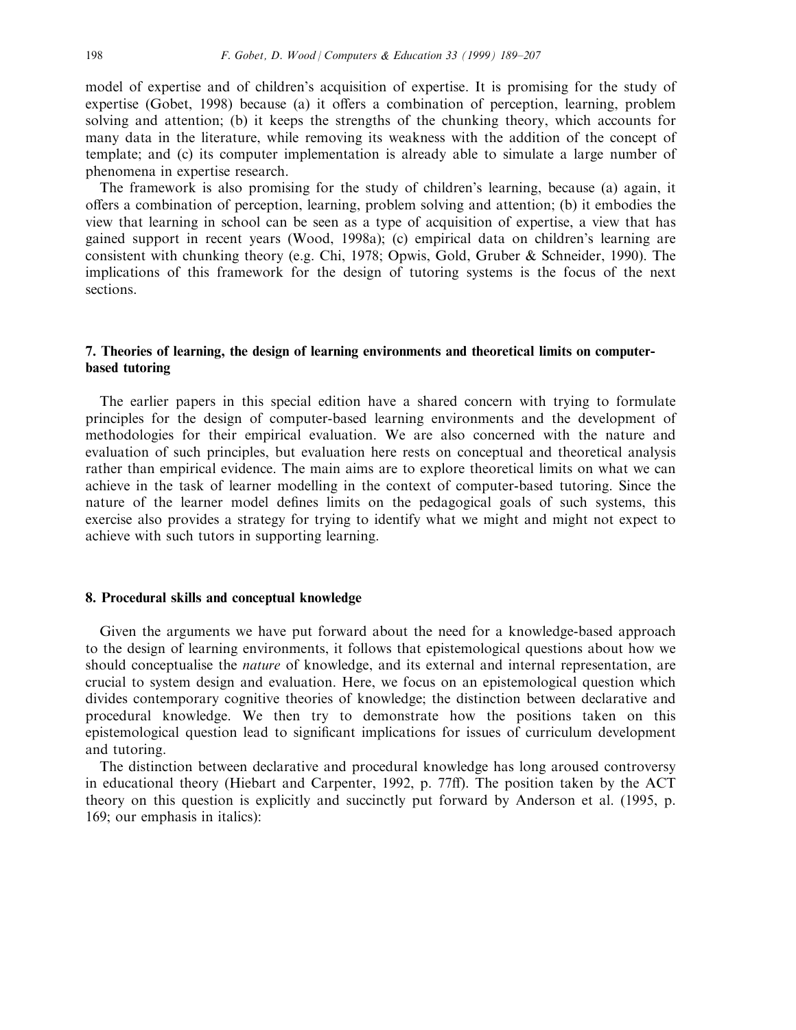model of expertise and of children's acquisition of expertise. It is promising for the study of expertise (Gobet, 1998) because (a) it offers a combination of perception, learning, problem solving and attention; (b) it keeps the strengths of the chunking theory, which accounts for many data in the literature, while removing its weakness with the addition of the concept of template; and (c) its computer implementation is already able to simulate a large number of phenomena in expertise research.

The framework is also promising for the study of children's learning, because (a) again, it offers a combination of perception, learning, problem solving and attention; (b) it embodies the view that learning in school can be seen as a type of acquisition of expertise, a view that has gained support in recent years (Wood, 1998a); (c) empirical data on children's learning are consistent with chunking theory (e.g. Chi, 1978; Opwis, Gold, Gruber & Schneider, 1990). The implications of this framework for the design of tutoring systems is the focus of the next sections.

## 7. Theories of learning, the design of learning environments and theoretical limits on computerbased tutoring

The earlier papers in this special edition have a shared concern with trying to formulate principles for the design of computer-based learning environments and the development of methodologies for their empirical evaluation. We are also concerned with the nature and evaluation of such principles, but evaluation here rests on conceptual and theoretical analysis rather than empirical evidence. The main aims are to explore theoretical limits on what we can achieve in the task of learner modelling in the context of computer-based tutoring. Since the nature of the learner model defines limits on the pedagogical goals of such systems, this exercise also provides a strategy for trying to identify what we might and might not expect to achieve with such tutors in supporting learning.

#### 8. Procedural skills and conceptual knowledge

Given the arguments we have put forward about the need for a knowledge-based approach to the design of learning environments, it follows that epistemological questions about how we should conceptualise the *nature* of knowledge, and its external and internal representation, are crucial to system design and evaluation. Here, we focus on an epistemological question which divides contemporary cognitive theories of knowledge; the distinction between declarative and procedural knowledge. We then try to demonstrate how the positions taken on this epistemological question lead to significant implications for issues of curriculum development and tutoring.

The distinction between declarative and procedural knowledge has long aroused controversy in educational theory (Hiebart and Carpenter, 1992, p. 77ff). The position taken by the ACT theory on this question is explicitly and succinctly put forward by Anderson et al. (1995, p. 169; our emphasis in italics):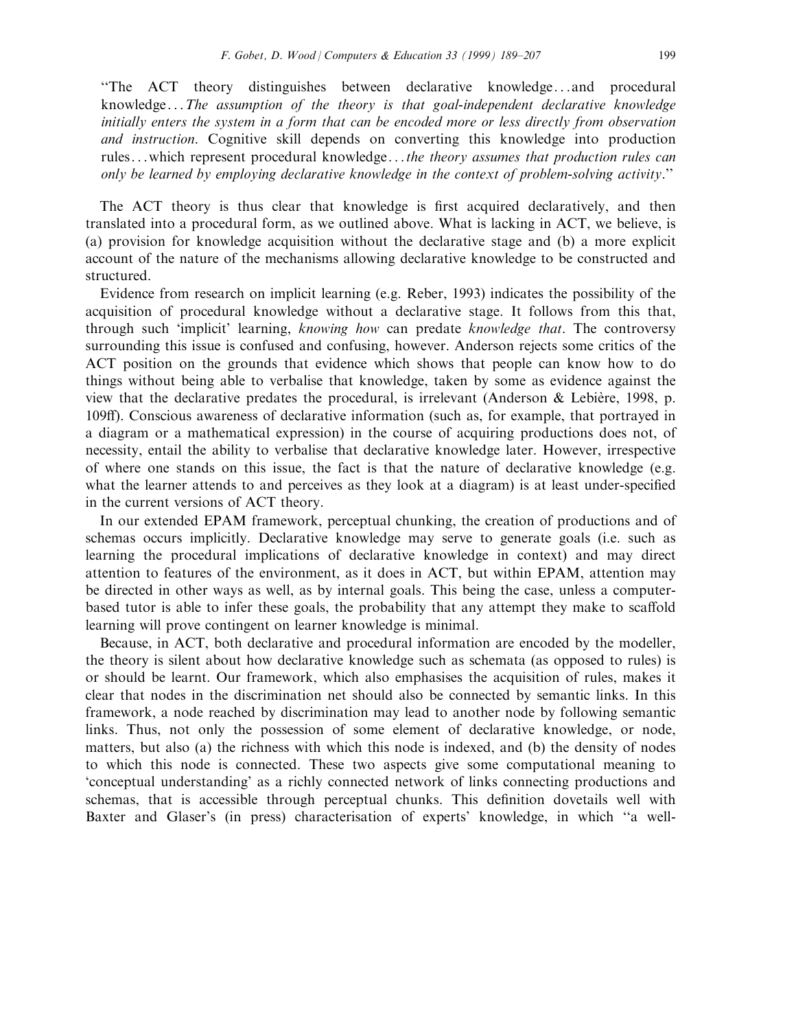``The ACT theory distinguishes between declarative knowledge...and procedural knowledge...The assumption of the theory is that goal-independent declarative knowledge initially enters the system in a form that can be encoded more or less directly from observation and instruction. Cognitive skill depends on converting this knowledge into production rules...which represent procedural knowledge...the theory assumes that production rules can only be learned by employing declarative knowledge in the context of problem-solving activity.''

The ACT theory is thus clear that knowledge is first acquired declaratively, and then translated into a procedural form, as we outlined above. What is lacking in ACT, we believe, is (a) provision for knowledge acquisition without the declarative stage and (b) a more explicit account of the nature of the mechanisms allowing declarative knowledge to be constructed and structured.

Evidence from research on implicit learning (e.g. Reber, 1993) indicates the possibility of the acquisition of procedural knowledge without a declarative stage. It follows from this that, through such 'implicit' learning, knowing how can predate knowledge that. The controversy surrounding this issue is confused and confusing, however. Anderson rejects some critics of the ACT position on the grounds that evidence which shows that people can know how to do things without being able to verbalise that knowledge, taken by some as evidence against the view that the declarative predates the procedural, is irrelevant (Anderson  $\&$  Lebière, 1998, p. 109ff). Conscious awareness of declarative information (such as, for example, that portrayed in a diagram or a mathematical expression) in the course of acquiring productions does not, of necessity, entail the ability to verbalise that declarative knowledge later. However, irrespective of where one stands on this issue, the fact is that the nature of declarative knowledge (e.g. what the learner attends to and perceives as they look at a diagram) is at least under-specified in the current versions of ACT theory.

In our extended EPAM framework, perceptual chunking, the creation of productions and of schemas occurs implicitly. Declarative knowledge may serve to generate goals (i.e. such as learning the procedural implications of declarative knowledge in context) and may direct attention to features of the environment, as it does in ACT, but within EPAM, attention may be directed in other ways as well, as by internal goals. This being the case, unless a computerbased tutor is able to infer these goals, the probability that any attempt they make to scaffold learning will prove contingent on learner knowledge is minimal.

Because, in ACT, both declarative and procedural information are encoded by the modeller, the theory is silent about how declarative knowledge such as schemata (as opposed to rules) is or should be learnt. Our framework, which also emphasises the acquisition of rules, makes it clear that nodes in the discrimination net should also be connected by semantic links. In this framework, a node reached by discrimination may lead to another node by following semantic links. Thus, not only the possession of some element of declarative knowledge, or node, matters, but also (a) the richness with which this node is indexed, and (b) the density of nodes to which this node is connected. These two aspects give some computational meaning to `conceptual understanding' as a richly connected network of links connecting productions and schemas, that is accessible through perceptual chunks. This definition dovetails well with Baxter and Glaser's (in press) characterisation of experts' knowledge, in which "a well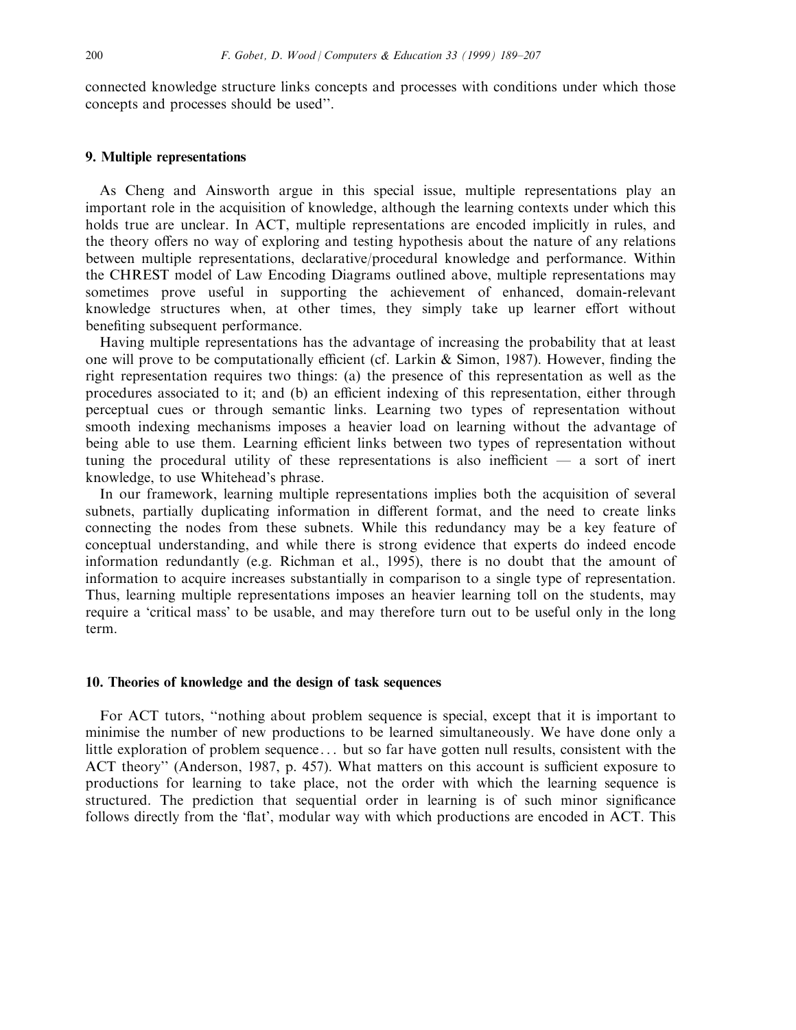connected knowledge structure links concepts and processes with conditions under which those concepts and processes should be used''.

## 9. Multiple representations

As Cheng and Ainsworth argue in this special issue, multiple representations play an important role in the acquisition of knowledge, although the learning contexts under which this holds true are unclear. In ACT, multiple representations are encoded implicitly in rules, and the theory offers no way of exploring and testing hypothesis about the nature of any relations between multiple representations, declarative/procedural knowledge and performance. Within the CHREST model of Law Encoding Diagrams outlined above, multiple representations may sometimes prove useful in supporting the achievement of enhanced, domain-relevant knowledge structures when, at other times, they simply take up learner effort without benefiting subsequent performance.

Having multiple representations has the advantage of increasing the probability that at least one will prove to be computationally efficient (cf. Larkin & Simon, 1987). However, finding the right representation requires two things: (a) the presence of this representation as well as the procedures associated to it; and (b) an efficient indexing of this representation, either through perceptual cues or through semantic links. Learning two types of representation without smooth indexing mechanisms imposes a heavier load on learning without the advantage of being able to use them. Learning efficient links between two types of representation without tuning the procedural utility of these representations is also inefficient  $\rho$  a sort of inert knowledge, to use Whitehead's phrase.

In our framework, learning multiple representations implies both the acquisition of several subnets, partially duplicating information in different format, and the need to create links connecting the nodes from these subnets. While this redundancy may be a key feature of conceptual understanding, and while there is strong evidence that experts do indeed encode information redundantly (e.g. Richman et al., 1995), there is no doubt that the amount of information to acquire increases substantially in comparison to a single type of representation. Thus, learning multiple representations imposes an heavier learning toll on the students, may require a 'critical mass' to be usable, and may therefore turn out to be useful only in the long term.

## 10. Theories of knowledge and the design of task sequences

For ACT tutors, "nothing about problem sequence is special, except that it is important to minimise the number of new productions to be learned simultaneously. We have done only a little exploration of problem sequence... but so far have gotten null results, consistent with the ACT theory" (Anderson, 1987, p. 457). What matters on this account is sufficient exposure to productions for learning to take place, not the order with which the learning sequence is structured. The prediction that sequential order in learning is of such minor significance follows directly from the 'flat', modular way with which productions are encoded in ACT. This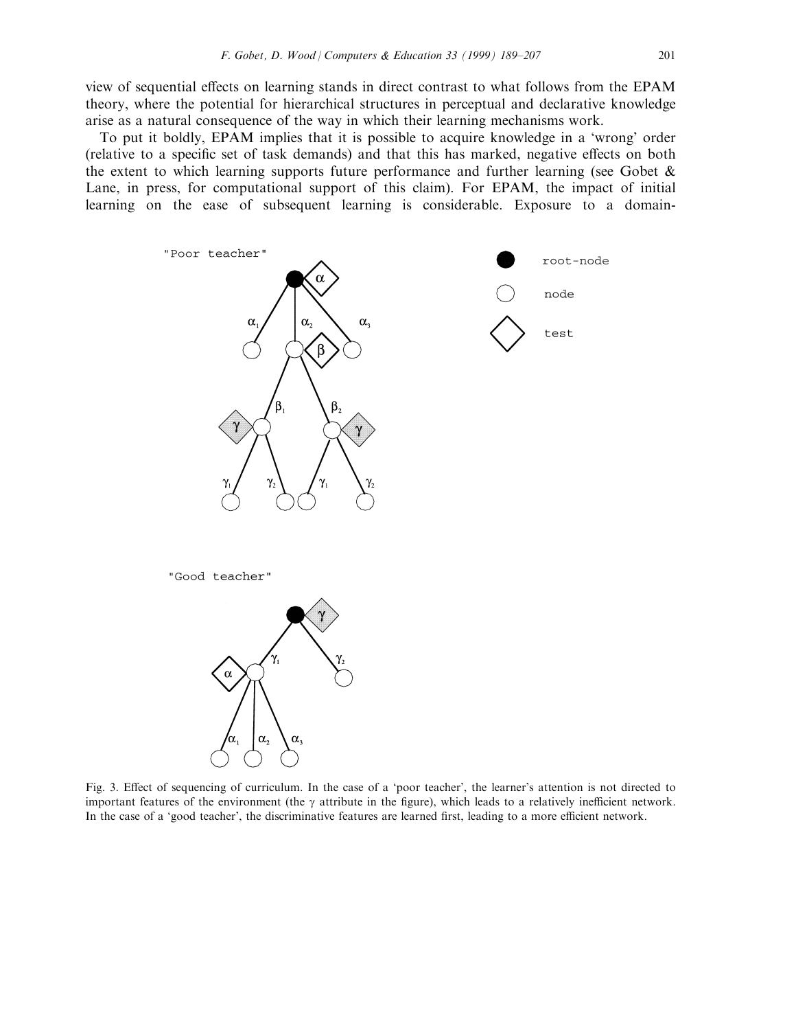view of sequential effects on learning stands in direct contrast to what follows from the EPAM theory, where the potential for hierarchical structures in perceptual and declarative knowledge arise as a natural consequence of the way in which their learning mechanisms work.

To put it boldly, EPAM implies that it is possible to acquire knowledge in a `wrong' order (relative to a specific set of task demands) and that this has marked, negative effects on both the extent to which learning supports future performance and further learning (see Gobet  $\&$ Lane, in press, for computational support of this claim). For EPAM, the impact of initial learning on the ease of subsequent learning is considerable. Exposure to a domain-



Fig. 3. Effect of sequencing of curriculum. In the case of a 'poor teacher', the learner's attention is not directed to important features of the environment (the  $\gamma$  attribute in the figure), which leads to a relatively inefficient network. In the case of a 'good teacher', the discriminative features are learned first, leading to a more efficient network.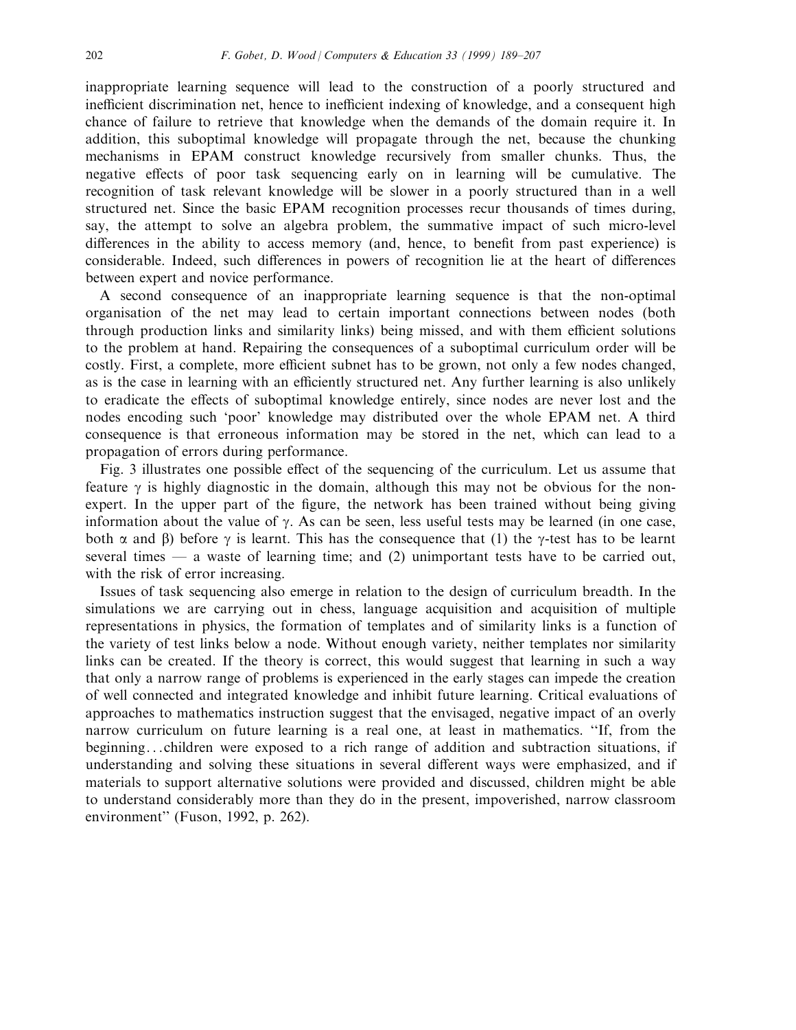inappropriate learning sequence will lead to the construction of a poorly structured and inefficient discrimination net, hence to inefficient indexing of knowledge, and a consequent high chance of failure to retrieve that knowledge when the demands of the domain require it. In addition, this suboptimal knowledge will propagate through the net, because the chunking mechanisms in EPAM construct knowledge recursively from smaller chunks. Thus, the negative effects of poor task sequencing early on in learning will be cumulative. The recognition of task relevant knowledge will be slower in a poorly structured than in a well structured net. Since the basic EPAM recognition processes recur thousands of times during, say, the attempt to solve an algebra problem, the summative impact of such micro-level differences in the ability to access memory (and, hence, to benefit from past experience) is considerable. Indeed, such differences in powers of recognition lie at the heart of differences between expert and novice performance.

A second consequence of an inappropriate learning sequence is that the non-optimal organisation of the net may lead to certain important connections between nodes (both through production links and similarity links) being missed, and with them efficient solutions to the problem at hand. Repairing the consequences of a suboptimal curriculum order will be costly. First, a complete, more efficient subnet has to be grown, not only a few nodes changed, as is the case in learning with an efficiently structured net. Any further learning is also unlikely to eradicate the effects of suboptimal knowledge entirely, since nodes are never lost and the nodes encoding such `poor' knowledge may distributed over the whole EPAM net. A third consequence is that erroneous information may be stored in the net, which can lead to a propagation of errors during performance.

Fig. 3 illustrates one possible effect of the sequencing of the curriculum. Let us assume that feature  $\gamma$  is highly diagnostic in the domain, although this may not be obvious for the nonexpert. In the upper part of the figure, the network has been trained without being giving information about the value of  $\gamma$ . As can be seen, less useful tests may be learned (in one case, both  $\alpha$  and  $\beta$ ) before  $\gamma$  is learnt. This has the consequence that (1) the  $\gamma$ -test has to be learnt several times  $-$  a waste of learning time; and (2) unimportant tests have to be carried out, with the risk of error increasing.

Issues of task sequencing also emerge in relation to the design of curriculum breadth. In the simulations we are carrying out in chess, language acquisition and acquisition of multiple representations in physics, the formation of templates and of similarity links is a function of the variety of test links below a node. Without enough variety, neither templates nor similarity links can be created. If the theory is correct, this would suggest that learning in such a way that only a narrow range of problems is experienced in the early stages can impede the creation of well connected and integrated knowledge and inhibit future learning. Critical evaluations of approaches to mathematics instruction suggest that the envisaged, negative impact of an overly narrow curriculum on future learning is a real one, at least in mathematics. "If, from the beginning...children were exposed to a rich range of addition and subtraction situations, if understanding and solving these situations in several different ways were emphasized, and if materials to support alternative solutions were provided and discussed, children might be able to understand considerably more than they do in the present, impoverished, narrow classroom environment'' (Fuson, 1992, p. 262).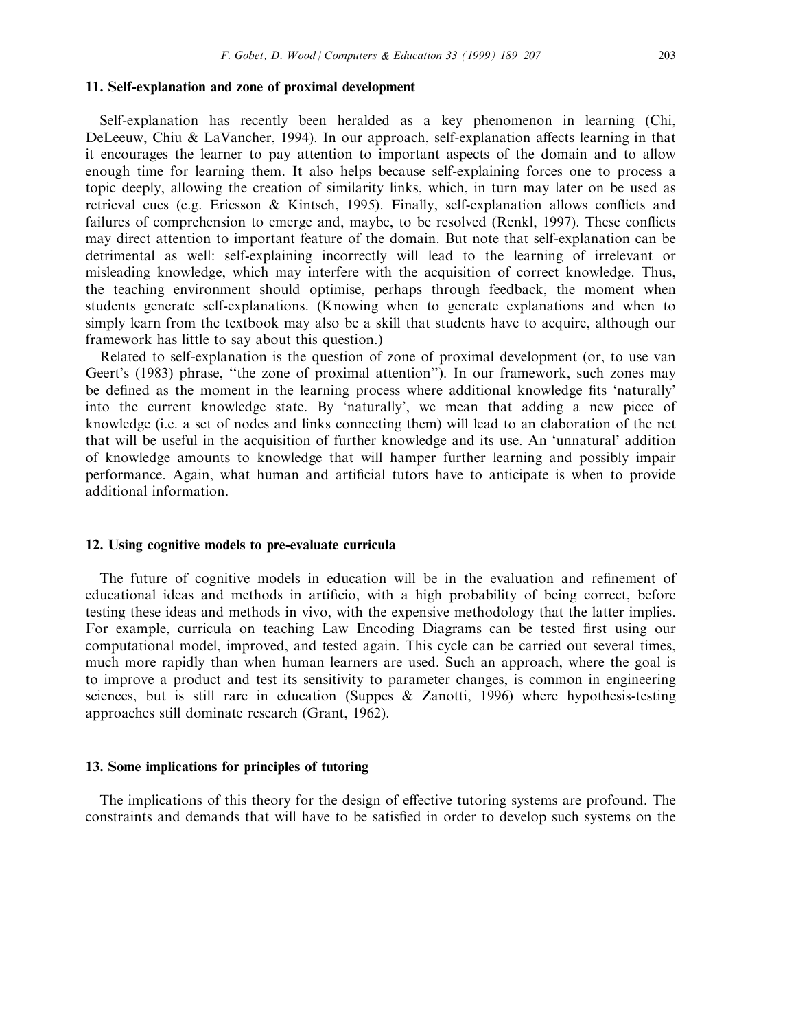## 11. Self-explanation and zone of proximal development

Self-explanation has recently been heralded as a key phenomenon in learning (Chi, DeLeeuw, Chiu & LaVancher, 1994). In our approach, self-explanation affects learning in that it encourages the learner to pay attention to important aspects of the domain and to allow enough time for learning them. It also helps because self-explaining forces one to process a topic deeply, allowing the creation of similarity links, which, in turn may later on be used as retrieval cues (e.g. Ericsson & Kintsch, 1995). Finally, self-explanation allows conflicts and failures of comprehension to emerge and, maybe, to be resolved (Renkl, 1997). These conflicts may direct attention to important feature of the domain. But note that self-explanation can be detrimental as well: self-explaining incorrectly will lead to the learning of irrelevant or misleading knowledge, which may interfere with the acquisition of correct knowledge. Thus, the teaching environment should optimise, perhaps through feedback, the moment when students generate self-explanations. (Knowing when to generate explanations and when to simply learn from the textbook may also be a skill that students have to acquire, although our framework has little to say about this question.)

Related to self-explanation is the question of zone of proximal development (or, to use van Geert's (1983) phrase, "the zone of proximal attention"). In our framework, such zones may be defined as the moment in the learning process where additional knowledge fits 'naturally' into the current knowledge state. By `naturally', we mean that adding a new piece of knowledge (i.e. a set of nodes and links connecting them) will lead to an elaboration of the net that will be useful in the acquisition of further knowledge and its use. An `unnatural' addition of knowledge amounts to knowledge that will hamper further learning and possibly impair performance. Again, what human and artificial tutors have to anticipate is when to provide additional information.

## 12. Using cognitive models to pre-evaluate curricula

The future of cognitive models in education will be in the evaluation and refinement of educational ideas and methods in artificio, with a high probability of being correct, before testing these ideas and methods in vivo, with the expensive methodology that the latter implies. For example, curricula on teaching Law Encoding Diagrams can be tested first using our computational model, improved, and tested again. This cycle can be carried out several times, much more rapidly than when human learners are used. Such an approach, where the goal is to improve a product and test its sensitivity to parameter changes, is common in engineering sciences, but is still rare in education (Suppes  $\&$  Zanotti, 1996) where hypothesis-testing approaches still dominate research (Grant, 1962).

## 13. Some implications for principles of tutoring

The implications of this theory for the design of effective tutoring systems are profound. The constraints and demands that will have to be satisfied in order to develop such systems on the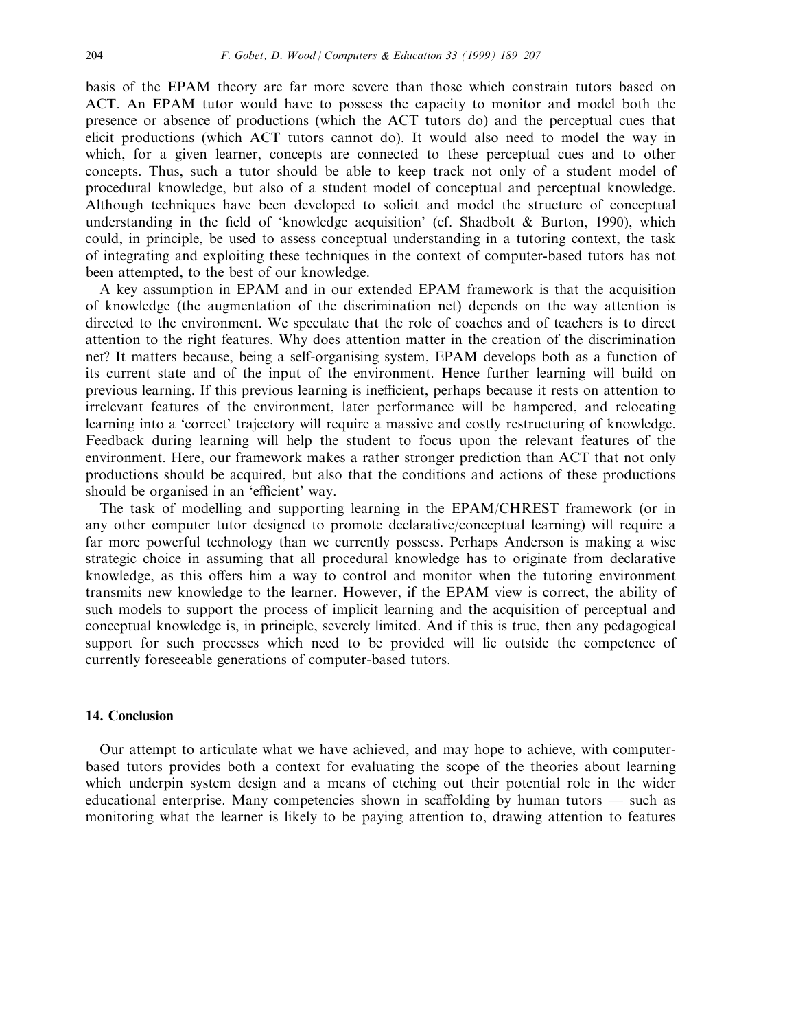basis of the EPAM theory are far more severe than those which constrain tutors based on ACT. An EPAM tutor would have to possess the capacity to monitor and model both the presence or absence of productions (which the ACT tutors do) and the perceptual cues that elicit productions (which ACT tutors cannot do). It would also need to model the way in which, for a given learner, concepts are connected to these perceptual cues and to other concepts. Thus, such a tutor should be able to keep track not only of a student model of procedural knowledge, but also of a student model of conceptual and perceptual knowledge. Although techniques have been developed to solicit and model the structure of conceptual understanding in the field of 'knowledge acquisition' (cf. Shadbolt  $& Burton, 1990$ ), which could, in principle, be used to assess conceptual understanding in a tutoring context, the task of integrating and exploiting these techniques in the context of computer-based tutors has not been attempted, to the best of our knowledge.

A key assumption in EPAM and in our extended EPAM framework is that the acquisition of knowledge (the augmentation of the discrimination net) depends on the way attention is directed to the environment. We speculate that the role of coaches and of teachers is to direct attention to the right features. Why does attention matter in the creation of the discrimination net? It matters because, being a self-organising system, EPAM develops both as a function of its current state and of the input of the environment. Hence further learning will build on previous learning. If this previous learning is inefficient, perhaps because it rests on attention to irrelevant features of the environment, later performance will be hampered, and relocating learning into a 'correct' trajectory will require a massive and costly restructuring of knowledge. Feedback during learning will help the student to focus upon the relevant features of the environment. Here, our framework makes a rather stronger prediction than ACT that not only productions should be acquired, but also that the conditions and actions of these productions should be organised in an 'efficient' way.

The task of modelling and supporting learning in the EPAM/CHREST framework (or in any other computer tutor designed to promote declarative/conceptual learning) will require a far more powerful technology than we currently possess. Perhaps Anderson is making a wise strategic choice in assuming that all procedural knowledge has to originate from declarative knowledge, as this offers him a way to control and monitor when the tutoring environment transmits new knowledge to the learner. However, if the EPAM view is correct, the ability of such models to support the process of implicit learning and the acquisition of perceptual and conceptual knowledge is, in principle, severely limited. And if this is true, then any pedagogical support for such processes which need to be provided will lie outside the competence of currently foreseeable generations of computer-based tutors.

## 14. Conclusion

Our attempt to articulate what we have achieved, and may hope to achieve, with computerbased tutors provides both a context for evaluating the scope of the theories about learning which underpin system design and a means of etching out their potential role in the wider educational enterprise. Many competencies shown in scaffolding by human tutors — such as monitoring what the learner is likely to be paying attention to, drawing attention to features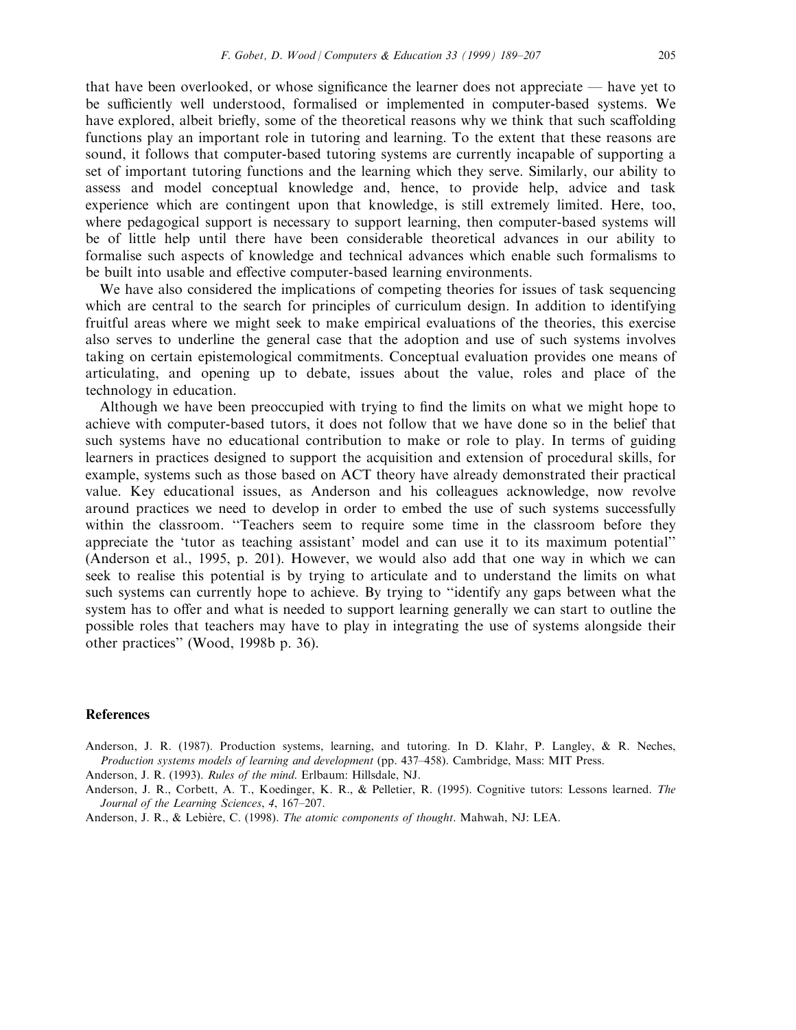that have been overlooked, or whose significance the learner does not appreciate  $-$  have yet to be sufficiently well understood, formalised or implemented in computer-based systems. We have explored, albeit briefly, some of the theoretical reasons why we think that such scaffolding functions play an important role in tutoring and learning. To the extent that these reasons are sound, it follows that computer-based tutoring systems are currently incapable of supporting a set of important tutoring functions and the learning which they serve. Similarly, our ability to assess and model conceptual knowledge and, hence, to provide help, advice and task experience which are contingent upon that knowledge, is still extremely limited. Here, too, where pedagogical support is necessary to support learning, then computer-based systems will be of little help until there have been considerable theoretical advances in our ability to formalise such aspects of knowledge and technical advances which enable such formalisms to be built into usable and effective computer-based learning environments.

We have also considered the implications of competing theories for issues of task sequencing which are central to the search for principles of curriculum design. In addition to identifying fruitful areas where we might seek to make empirical evaluations of the theories, this exercise also serves to underline the general case that the adoption and use of such systems involves taking on certain epistemological commitments. Conceptual evaluation provides one means of articulating, and opening up to debate, issues about the value, roles and place of the technology in education.

Although we have been preoccupied with trying to find the limits on what we might hope to achieve with computer-based tutors, it does not follow that we have done so in the belief that such systems have no educational contribution to make or role to play. In terms of guiding learners in practices designed to support the acquisition and extension of procedural skills, for example, systems such as those based on ACT theory have already demonstrated their practical value. Key educational issues, as Anderson and his colleagues acknowledge, now revolve around practices we need to develop in order to embed the use of such systems successfully within the classroom. "Teachers seem to require some time in the classroom before they appreciate the `tutor as teaching assistant' model and can use it to its maximum potential'' (Anderson et al., 1995, p. 201). However, we would also add that one way in which we can seek to realise this potential is by trying to articulate and to understand the limits on what such systems can currently hope to achieve. By trying to "identify any gaps between what the system has to offer and what is needed to support learning generally we can start to outline the possible roles that teachers may have to play in integrating the use of systems alongside their other practices'' (Wood, 1998b p. 36).

## References

Anderson, J. R. (1987). Production systems, learning, and tutoring. In D. Klahr, P. Langley, & R. Neches, Production systems models of learning and development (pp. 437-458). Cambridge, Mass: MIT Press.

Anderson, J. R. (1993). Rules of the mind. Erlbaum: Hillsdale, NJ.

Anderson, J. R., Corbett, A. T., Koedinger, K. R., & Pelletier, R. (1995). Cognitive tutors: Lessons learned. The Journal of the Learning Sciences, 4, 167-207.

Anderson, J. R., & Lebière, C. (1998). The atomic components of thought. Mahwah, NJ: LEA.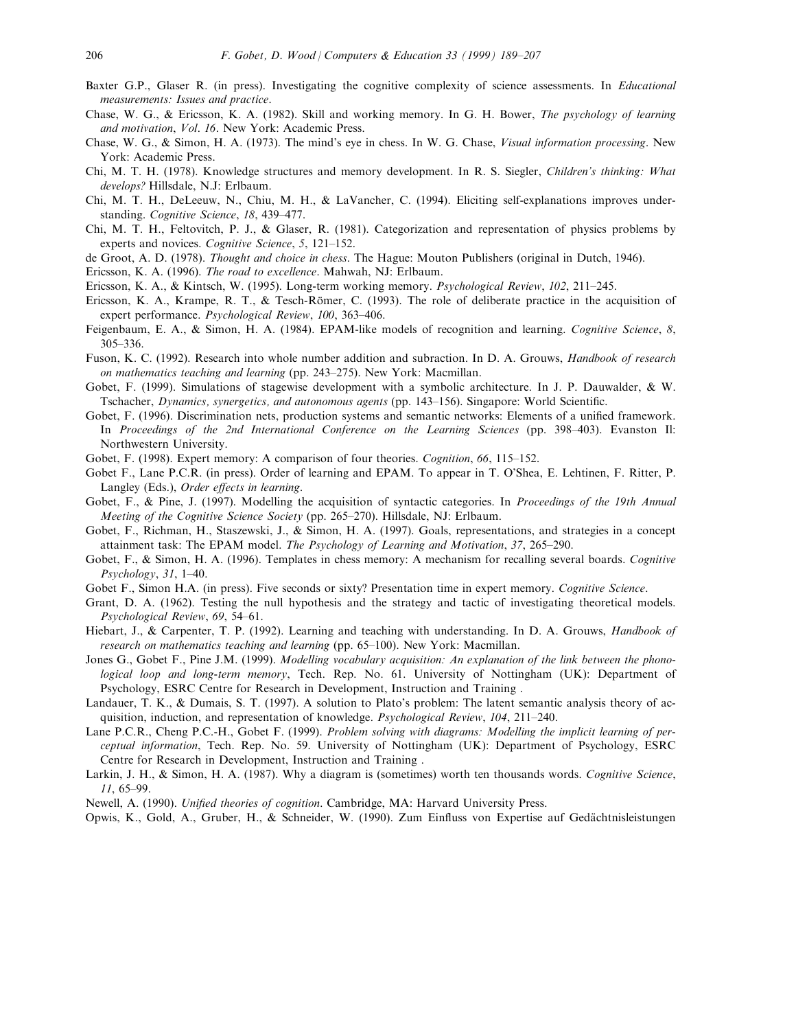- Baxter G.P., Glaser R. (in press). Investigating the cognitive complexity of science assessments. In Educational measurements: Issues and practice.
- Chase, W. G., & Ericsson, K. A. (1982). Skill and working memory. In G. H. Bower, The psychology of learning and motivation, Vol. 16. New York: Academic Press.
- Chase, W. G., & Simon, H. A. (1973). The mind's eye in chess. In W. G. Chase, Visual information processing. New York: Academic Press.
- Chi, M. T. H. (1978). Knowledge structures and memory development. In R. S. Siegler, Children's thinking: What develops? Hillsdale, N.J: Erlbaum.
- Chi, M. T. H., DeLeeuw, N., Chiu, M. H., & LaVancher, C. (1994). Eliciting self-explanations improves understanding. Cognitive Science, 18, 439-477.
- Chi, M. T. H., Feltovitch, P. J., & Glaser, R. (1981). Categorization and representation of physics problems by experts and novices. Cognitive Science,  $5$ , 121-152.
- de Groot, A. D. (1978). Thought and choice in chess. The Hague: Mouton Publishers (original in Dutch, 1946).
- Ericsson, K. A. (1996). The road to excellence. Mahwah, NJ: Erlbaum.
- Ericsson, K. A., & Kintsch, W. (1995). Long-term working memory. Psychological Review, 102, 211-245.
- Ericsson, K. A., Krampe, R. T., & Tesch-Römer, C. (1993). The role of deliberate practice in the acquisition of expert performance. Psychological Review, 100, 363-406.
- Feigenbaum, E. A., & Simon, H. A. (1984). EPAM-like models of recognition and learning. Cognitive Science, 8, 305±336.
- Fuson, K. C. (1992). Research into whole number addition and subraction. In D. A. Grouws, Handbook of research on mathematics teaching and learning (pp. 243-275). New York: Macmillan.
- Gobet, F. (1999). Simulations of stagewise development with a symbolic architecture. In J. P. Dauwalder, & W. Tschacher, Dynamics, synergetics, and autonomous agents (pp. 143–156). Singapore: World Scientific.
- Gobet, F. (1996). Discrimination nets, production systems and semantic networks: Elements of a unified framework. In Proceedings of the 2nd International Conference on the Learning Sciences (pp. 398-403). Evanston II: Northwestern University.
- Gobet, F. (1998). Expert memory: A comparison of four theories. Cognition, 66, 115–152.
- Gobet F., Lane P.C.R. (in press). Order of learning and EPAM. To appear in T. O'Shea, E. Lehtinen, F. Ritter, P. Langley (Eds.), Order effects in learning.
- Gobet, F., & Pine, J. (1997). Modelling the acquisition of syntactic categories. In Proceedings of the 19th Annual Meeting of the Cognitive Science Society (pp. 265-270). Hillsdale, NJ: Erlbaum.
- Gobet, F., Richman, H., Staszewski, J., & Simon, H. A. (1997). Goals, representations, and strategies in a concept attainment task: The EPAM model. The Psychology of Learning and Motivation, 37, 265–290.
- Gobet, F., & Simon, H. A. (1996). Templates in chess memory: A mechanism for recalling several boards. Cognitive  $Psychology, 31, 1–40.$
- Gobet F., Simon H.A. (in press). Five seconds or sixty? Presentation time in expert memory. Cognitive Science.
- Grant, D. A. (1962). Testing the null hypothesis and the strategy and tactic of investigating theoretical models. Psychological Review, 69, 54–61.
- Hiebart, J., & Carpenter, T. P. (1992). Learning and teaching with understanding. In D. A. Grouws, *Handbook of* research on mathematics teaching and learning (pp. 65-100). New York: Macmillan.
- Jones G., Gobet F., Pine J.M. (1999). Modelling vocabulary acquisition: An explanation of the link between the phonological loop and long-term memory, Tech. Rep. No. 61. University of Nottingham (UK): Department of Psychology, ESRC Centre for Research in Development, Instruction and Training .
- Landauer, T. K., & Dumais, S. T. (1997). A solution to Plato's problem: The latent semantic analysis theory of acquisition, induction, and representation of knowledge. *Psychological Review*,  $104$ ,  $211–240$ .
- Lane P.C.R., Cheng P.C.-H., Gobet F. (1999). Problem solving with diagrams: Modelling the implicit learning of perceptual information, Tech. Rep. No. 59. University of Nottingham (UK): Department of Psychology, ESRC Centre for Research in Development, Instruction and Training .
- Larkin, J. H., & Simon, H. A. (1987). Why a diagram is (sometimes) worth ten thousands words. Cognitive Science, 11, 65-99.
- Newell, A. (1990). Unified theories of cognition. Cambridge, MA: Harvard University Press.
- Opwis, K., Gold, A., Gruber, H., & Schneider, W. (1990). Zum Einfluss von Expertise auf Gedächtnisleistungen